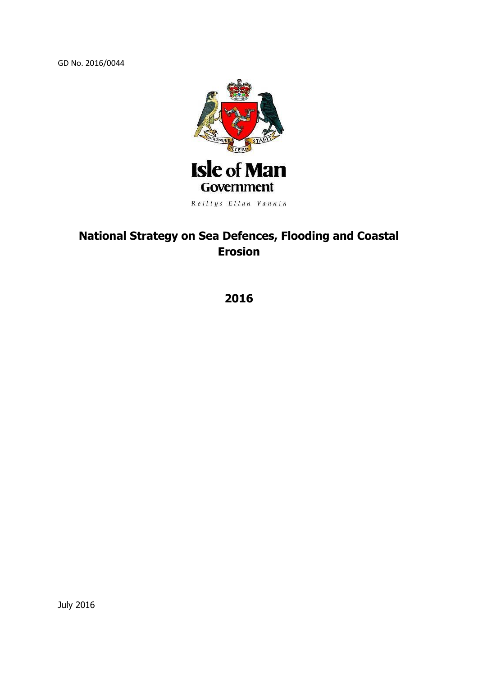GD No. 2016/0044



# **National Strategy on Sea Defences, Flooding and Coastal Erosion**

**2016**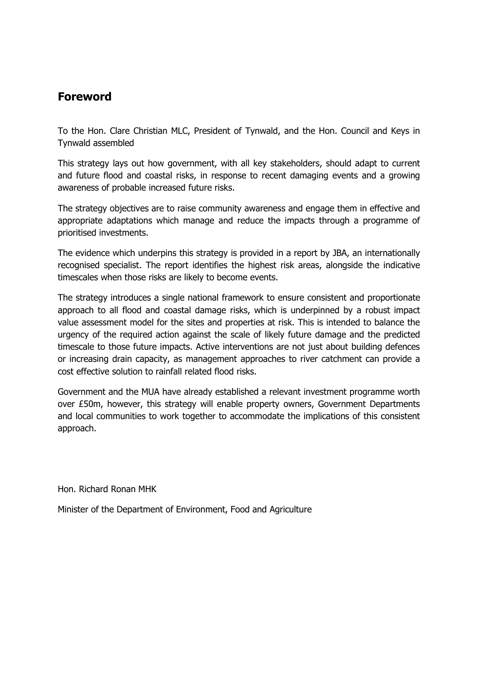#### **Foreword**

To the Hon. Clare Christian MLC, President of Tynwald, and the Hon. Council and Keys in Tynwald assembled

This strategy lays out how government, with all key stakeholders, should adapt to current and future flood and coastal risks, in response to recent damaging events and a growing awareness of probable increased future risks.

The strategy objectives are to raise community awareness and engage them in effective and appropriate adaptations which manage and reduce the impacts through a programme of prioritised investments.

The evidence which underpins this strategy is provided in a report by JBA, an internationally recognised specialist. The report identifies the highest risk areas, alongside the indicative timescales when those risks are likely to become events.

The strategy introduces a single national framework to ensure consistent and proportionate approach to all flood and coastal damage risks, which is underpinned by a robust impact value assessment model for the sites and properties at risk. This is intended to balance the urgency of the required action against the scale of likely future damage and the predicted timescale to those future impacts. Active interventions are not just about building defences or increasing drain capacity, as management approaches to river catchment can provide a cost effective solution to rainfall related flood risks.

Government and the MUA have already established a relevant investment programme worth over £50m, however, this strategy will enable property owners, Government Departments and local communities to work together to accommodate the implications of this consistent approach.

Hon. Richard Ronan MHK

Minister of the Department of Environment, Food and Agriculture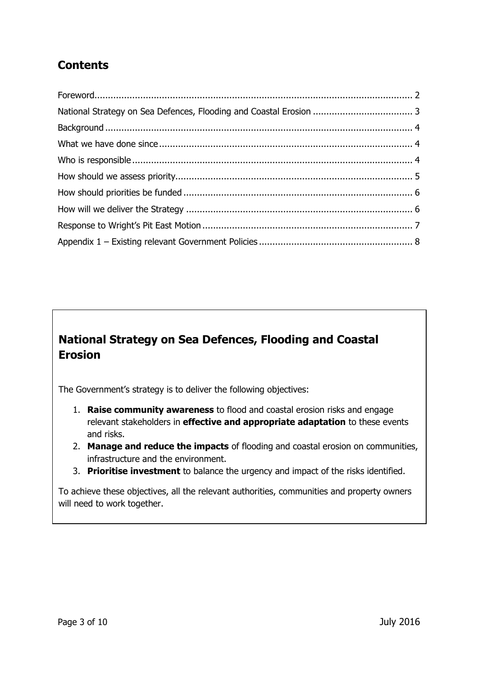# **Contents**

# **National Strategy on Sea Defences, Flooding and Coastal Erosion**

The Government's strategy is to deliver the following objectives:

- 1. **Raise community awareness** to flood and coastal erosion risks and engage relevant stakeholders in **effective and appropriate adaptation** to these events and risks.
- 2. **Manage and reduce the impacts** of flooding and coastal erosion on communities, infrastructure and the environment.
- 3. **Prioritise investment** to balance the urgency and impact of the risks identified.

To achieve these objectives, all the relevant authorities, communities and property owners will need to work together.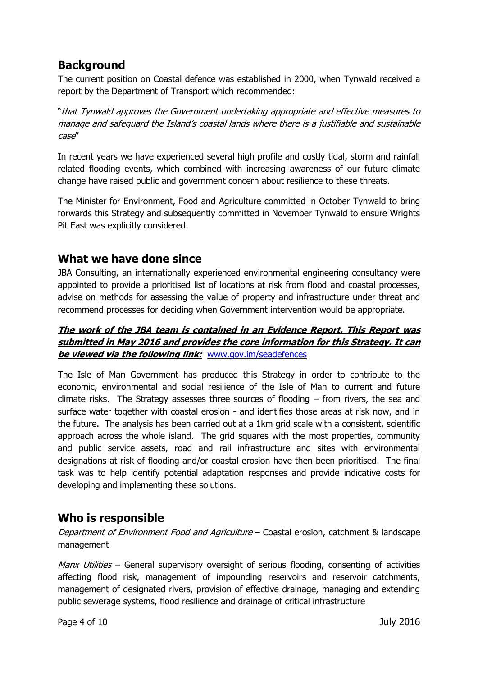## **Background**

The current position on Coastal defence was established in 2000, when Tynwald received a report by the Department of Transport which recommended:

"that Tynwald approves the Government undertaking appropriate and effective measures to manage and safeguard the Island's coastal lands where there is a justifiable and sustainable case"

In recent years we have experienced several high profile and costly tidal, storm and rainfall related flooding events, which combined with increasing awareness of our future climate change have raised public and government concern about resilience to these threats.

The Minister for Environment, Food and Agriculture committed in October Tynwald to bring forwards this Strategy and subsequently committed in November Tynwald to ensure Wrights Pit East was explicitly considered.

#### **What we have done since**

JBA Consulting, an internationally experienced environmental engineering consultancy were appointed to provide a prioritised list of locations at risk from flood and coastal processes, advise on methods for assessing the value of property and infrastructure under threat and recommend processes for deciding when Government intervention would be appropriate.

#### **The work of the JBA team is contained in an Evidence Report. This Report was submitted in May 2016 and provides the core information for this Strategy. It can be viewed via the following link:** [www.gov.im/seadefences](http://www.gov.im/seadefences)

The Isle of Man Government has produced this Strategy in order to contribute to the economic, environmental and social resilience of the Isle of Man to current and future climate risks. The Strategy assesses three sources of flooding – from rivers, the sea and surface water together with coastal erosion - and identifies those areas at risk now, and in the future. The analysis has been carried out at a 1km grid scale with a consistent, scientific approach across the whole island. The grid squares with the most properties, community and public service assets, road and rail infrastructure and sites with environmental designations at risk of flooding and/or coastal erosion have then been prioritised. The final task was to help identify potential adaptation responses and provide indicative costs for developing and implementing these solutions.

## **Who is responsible**

Department of Environment Food and Agriculture – Coastal erosion, catchment & landscape management

*Manx Utilities* – General supervisory oversight of serious flooding, consenting of activities affecting flood risk, management of impounding reservoirs and reservoir catchments, management of designated rivers, provision of effective drainage, managing and extending public sewerage systems, flood resilience and drainage of critical infrastructure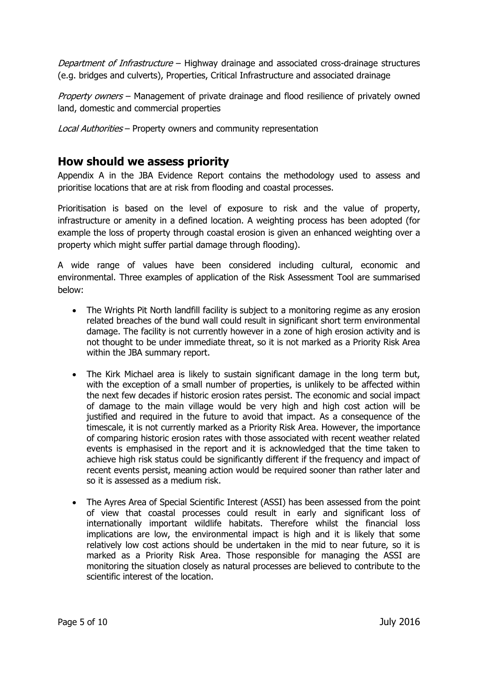Department of Infrastructure – Highway drainage and associated cross-drainage structures (e.g. bridges and culverts), Properties, Critical Infrastructure and associated drainage

Property owners – Management of private drainage and flood resilience of privately owned land, domestic and commercial properties

Local Authorities – Property owners and community representation

#### **How should we assess priority**

Appendix A in the JBA Evidence Report contains the methodology used to assess and prioritise locations that are at risk from flooding and coastal processes.

Prioritisation is based on the level of exposure to risk and the value of property, infrastructure or amenity in a defined location. A weighting process has been adopted (for example the loss of property through coastal erosion is given an enhanced weighting over a property which might suffer partial damage through flooding).

A wide range of values have been considered including cultural, economic and environmental. Three examples of application of the Risk Assessment Tool are summarised below:

- The Wrights Pit North landfill facility is subject to a monitoring regime as any erosion related breaches of the bund wall could result in significant short term environmental damage. The facility is not currently however in a zone of high erosion activity and is not thought to be under immediate threat, so it is not marked as a Priority Risk Area within the JBA summary report.
- The Kirk Michael area is likely to sustain significant damage in the long term but, with the exception of a small number of properties, is unlikely to be affected within the next few decades if historic erosion rates persist. The economic and social impact of damage to the main village would be very high and high cost action will be justified and required in the future to avoid that impact. As a consequence of the timescale, it is not currently marked as a Priority Risk Area. However, the importance of comparing historic erosion rates with those associated with recent weather related events is emphasised in the report and it is acknowledged that the time taken to achieve high risk status could be significantly different if the frequency and impact of recent events persist, meaning action would be required sooner than rather later and so it is assessed as a medium risk.
- The Ayres Area of Special Scientific Interest (ASSI) has been assessed from the point of view that coastal processes could result in early and significant loss of internationally important wildlife habitats. Therefore whilst the financial loss implications are low, the environmental impact is high and it is likely that some relatively low cost actions should be undertaken in the mid to near future, so it is marked as a Priority Risk Area. Those responsible for managing the ASSI are monitoring the situation closely as natural processes are believed to contribute to the scientific interest of the location.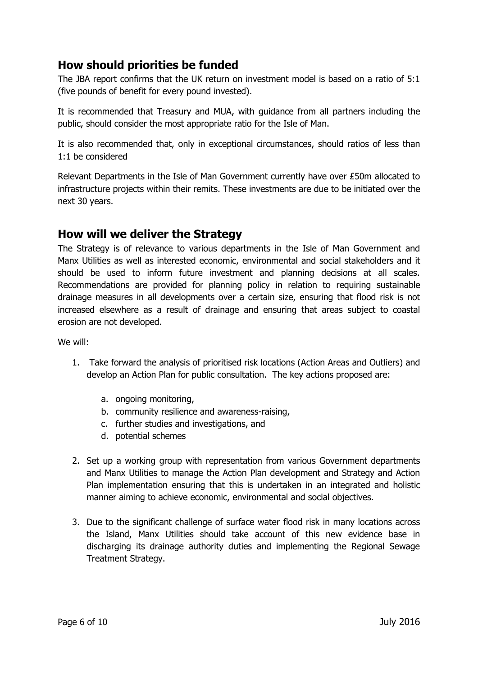## **How should priorities be funded**

The JBA report confirms that the UK return on investment model is based on a ratio of 5:1 (five pounds of benefit for every pound invested).

It is recommended that Treasury and MUA, with guidance from all partners including the public, should consider the most appropriate ratio for the Isle of Man.

It is also recommended that, only in exceptional circumstances, should ratios of less than 1:1 be considered

Relevant Departments in the Isle of Man Government currently have over £50m allocated to infrastructure projects within their remits. These investments are due to be initiated over the next 30 years.

#### **How will we deliver the Strategy**

The Strategy is of relevance to various departments in the Isle of Man Government and Manx Utilities as well as interested economic, environmental and social stakeholders and it should be used to inform future investment and planning decisions at all scales. Recommendations are provided for planning policy in relation to requiring sustainable drainage measures in all developments over a certain size, ensuring that flood risk is not increased elsewhere as a result of drainage and ensuring that areas subject to coastal erosion are not developed.

We will:

- 1. Take forward the analysis of prioritised risk locations (Action Areas and Outliers) and develop an Action Plan for public consultation. The key actions proposed are:
	- a. ongoing monitoring,
	- b. community resilience and awareness-raising,
	- c. further studies and investigations, and
	- d. potential schemes
- 2. Set up a working group with representation from various Government departments and Manx Utilities to manage the Action Plan development and Strategy and Action Plan implementation ensuring that this is undertaken in an integrated and holistic manner aiming to achieve economic, environmental and social objectives.
- 3. Due to the significant challenge of surface water flood risk in many locations across the Island, Manx Utilities should take account of this new evidence base in discharging its drainage authority duties and implementing the Regional Sewage Treatment Strategy.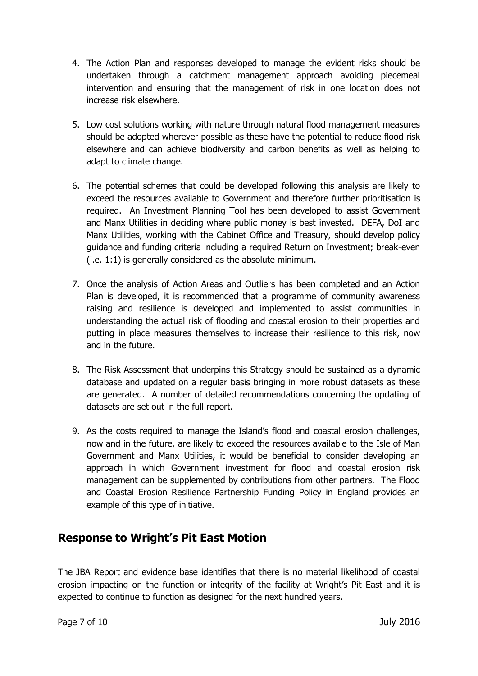- 4. The Action Plan and responses developed to manage the evident risks should be undertaken through a catchment management approach avoiding piecemeal intervention and ensuring that the management of risk in one location does not increase risk elsewhere.
- 5. Low cost solutions working with nature through natural flood management measures should be adopted wherever possible as these have the potential to reduce flood risk elsewhere and can achieve biodiversity and carbon benefits as well as helping to adapt to climate change.
- 6. The potential schemes that could be developed following this analysis are likely to exceed the resources available to Government and therefore further prioritisation is required. An Investment Planning Tool has been developed to assist Government and Manx Utilities in deciding where public money is best invested. DEFA, DoI and Manx Utilities, working with the Cabinet Office and Treasury, should develop policy guidance and funding criteria including a required Return on Investment; break-even (i.e. 1:1) is generally considered as the absolute minimum.
- 7. Once the analysis of Action Areas and Outliers has been completed and an Action Plan is developed, it is recommended that a programme of community awareness raising and resilience is developed and implemented to assist communities in understanding the actual risk of flooding and coastal erosion to their properties and putting in place measures themselves to increase their resilience to this risk, now and in the future.
- 8. The Risk Assessment that underpins this Strategy should be sustained as a dynamic database and updated on a regular basis bringing in more robust datasets as these are generated. A number of detailed recommendations concerning the updating of datasets are set out in the full report.
- 9. As the costs required to manage the Island's flood and coastal erosion challenges, now and in the future, are likely to exceed the resources available to the Isle of Man Government and Manx Utilities, it would be beneficial to consider developing an approach in which Government investment for flood and coastal erosion risk management can be supplemented by contributions from other partners. The Flood and Coastal Erosion Resilience Partnership Funding Policy in England provides an example of this type of initiative.

## **Response to Wright's Pit East Motion**

The JBA Report and evidence base identifies that there is no material likelihood of coastal erosion impacting on the function or integrity of the facility at Wright's Pit East and it is expected to continue to function as designed for the next hundred years.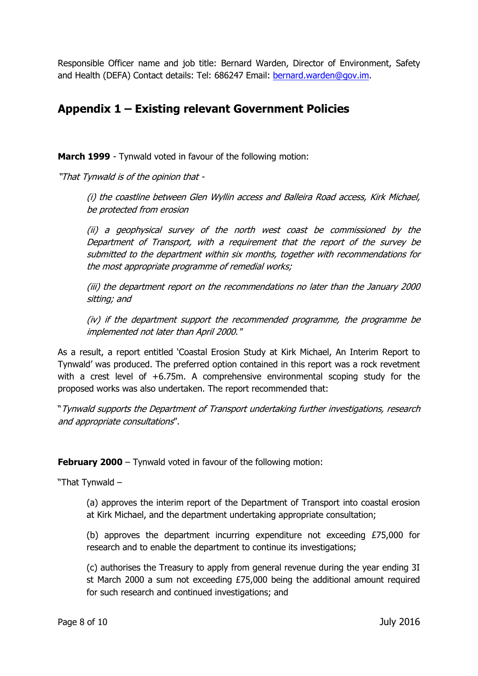Responsible Officer name and job title: Bernard Warden, Director of Environment, Safety and Health (DEFA) Contact details: Tel: 686247 Email: [bernard.warden@gov.im.](mailto:bernard.warden@gov.im)

#### **Appendix 1 – Existing relevant Government Policies**

**March 1999** - Tynwald voted in favour of the following motion:

"That Tynwald is of the opinion that -

(i) the coastline between Glen Wyllin access and Balleira Road access, Kirk Michael, be protected from erosion

(ii) a geophysical survey of the north west coast be commissioned by the Department of Transport, with a requirement that the report of the survey be submitted to the department within six months, together with recommendations for the most appropriate programme of remedial works;

(iii) the department report on the recommendations no later than the January 2000 sitting; and

(iv) if the department support the recommended programme, the programme be implemented not later than April 2000."

As a result, a report entitled 'Coastal Erosion Study at Kirk Michael, An Interim Report to Tynwald' was produced. The preferred option contained in this report was a rock revetment with a crest level of +6.75m. A comprehensive environmental scoping study for the proposed works was also undertaken. The report recommended that:

"Tynwald supports the Department of Transport undertaking further investigations, research and appropriate consultations".

**February 2000** – Tynwald voted in favour of the following motion:

"That Tynwald –

(a) approves the interim report of the Department of Transport into coastal erosion at Kirk Michael, and the department undertaking appropriate consultation;

(b) approves the department incurring expenditure not exceeding £75,000 for research and to enable the department to continue its investigations;

(c) authorises the Treasury to apply from general revenue during the year ending 3I st March 2000 a sum not exceeding £75,000 being the additional amount required for such research and continued investigations; and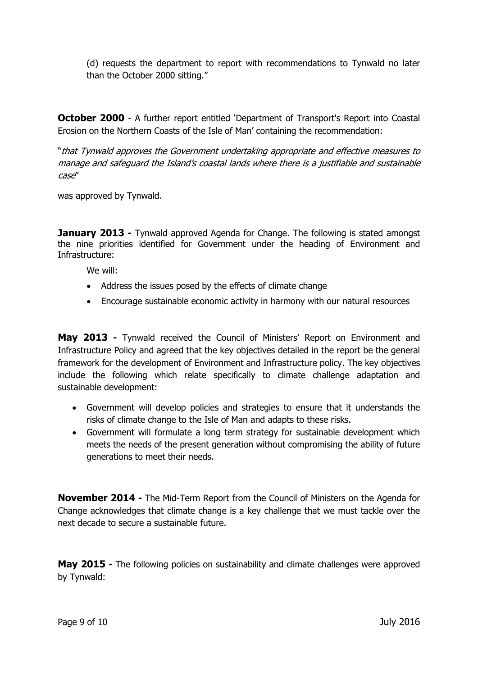(d) requests the department to report with recommendations to Tynwald no later than the October 2000 sitting."

**October 2000** - A further report entitled 'Department of Transport's Report into Coastal Erosion on the Northern Coasts of the Isle of Man' containing the recommendation:

"that Tynwald approves the Government undertaking appropriate and effective measures to manage and safeguard the Island's coastal lands where there is a justifiable and sustainable case"

was approved by Tynwald.

**January 2013** - Tynwald approved Agenda for Change. The following is stated amongst the nine priorities identified for Government under the heading of Environment and Infrastructure:

We will:

- Address the issues posed by the effects of climate change
- Encourage sustainable economic activity in harmony with our natural resources

**May 2013 -** Tynwald received the Council of Ministers' Report on Environment and Infrastructure Policy and agreed that the key objectives detailed in the report be the general framework for the development of Environment and Infrastructure policy. The key objectives include the following which relate specifically to climate challenge adaptation and sustainable development:

- Government will develop policies and strategies to ensure that it understands the risks of climate change to the Isle of Man and adapts to these risks.
- Government will formulate a long term strategy for sustainable development which meets the needs of the present generation without compromising the ability of future generations to meet their needs.

**November 2014 -** The Mid-Term Report from the Council of Ministers on the Agenda for Change acknowledges that climate change is a key challenge that we must tackle over the next decade to secure a sustainable future.

**May 2015 -** The following policies on sustainability and climate challenges were approved by Tynwald: